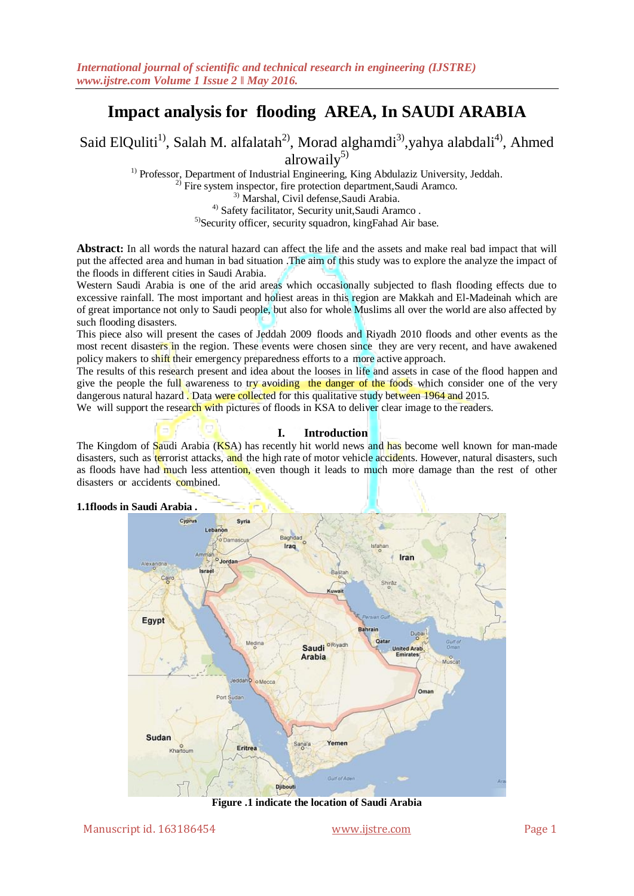# **Impact analysis for flooding AREA, In SAUDI ARABIA**

Said ElQuliti<sup>1)</sup>, Salah M. alfalatah<sup>2)</sup>, Morad alghamdi<sup>3)</sup>, yahya alabdali<sup>4)</sup>, Ahmed alrowail $v^{5}$ 

<sup>1)</sup> Professor, Department of Industrial Engineering, King Abdulaziz University, Jeddah.

<sup>2)</sup> Fire system inspector, fire protection department, Saudi Aramco.

3) Marshal, Civil defense,Saudi Arabia.

4) Safety facilitator, Security unit,Saudi Aramco .

5)Security officer, security squadron, kingFahad Air base.

**Abstract:** In all words the natural hazard can affect the life and the assets and make real bad impact that will put the affected area and human in bad situation .The aim of this study was to explore the analyze the impact of the floods in different cities in Saudi Arabia.

Western Saudi Arabia is one of the arid areas which occasionally subjected to flash flooding effects due to excessive rainfall. The most important and holiest areas in this region are Makkah and El-Madeinah which are of great importance not only to Saudi people, but also for whole Muslims all over the world are also affected by such flooding disasters.

This piece also will present the cases of Jeddah 2009 floods and Riyadh 2010 floods and other events as the most recent disasters in the region. These events were chosen since they are very recent, and have awakened policy makers to shift their emergency preparedness efforts to a more active approach.

The results of this research present and idea about the looses in life and assets in case of the flood happen and give the people the full awareness to try avoiding the danger of the foods which consider one of the very dangerous natural hazard . Data were collected for this qualitative study between 1964 and 2015.

We will support the research with pictures of floods in KSA to deliver clear image to the readers.

## **I. Introduction**

The Kingdom of Saudi Arabia (KSA) has recently hit world news and has become well known for man-made disasters, such as terrorist attacks, and the high rate of motor vehicle accidents. However, natural disasters, such as floods have had much less attention, even though it leads to much more damage than the rest of other disasters or accidents combined.

# **1.1floods in Saudi Arabia .**



**Figure .1 indicate the location of Saudi Arabia**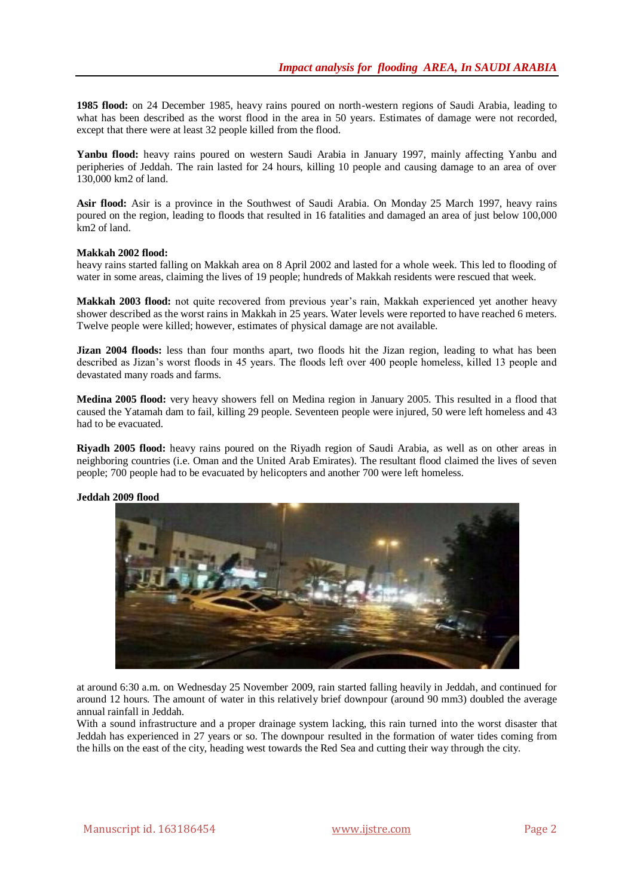**1985 flood:** on 24 December 1985, heavy rains poured on north-western regions of Saudi Arabia, leading to what has been described as the worst flood in the area in 50 years. Estimates of damage were not recorded, except that there were at least 32 people killed from the flood.

Yanbu flood: heavy rains poured on western Saudi Arabia in January 1997, mainly affecting Yanbu and peripheries of Jeddah. The rain lasted for 24 hours, killing 10 people and causing damage to an area of over 130,000 km2 of land.

**Asir flood:** Asir is a province in the Southwest of Saudi Arabia. On Monday 25 March 1997, heavy rains poured on the region, leading to floods that resulted in 16 fatalities and damaged an area of just below 100,000 km2 of land.

# **Makkah 2002 flood:**

heavy rains started falling on Makkah area on 8 April 2002 and lasted for a whole week. This led to flooding of water in some areas, claiming the lives of 19 people; hundreds of Makkah residents were rescued that week.

**Makkah 2003 flood:** not quite recovered from previous year's rain, Makkah experienced yet another heavy shower described as the worst rains in Makkah in 25 years. Water levels were reported to have reached 6 meters. Twelve people were killed; however, estimates of physical damage are not available.

Jizan 2004 floods: less than four months apart, two floods hit the Jizan region, leading to what has been described as Jizan's worst floods in 45 years. The floods left over 400 people homeless, killed 13 people and devastated many roads and farms.

**Medina 2005 flood:** very heavy showers fell on Medina region in January 2005. This resulted in a flood that caused the Yatamah dam to fail, killing 29 people. Seventeen people were injured, 50 were left homeless and 43 had to be evacuated.

**Riyadh 2005 flood:** heavy rains poured on the Riyadh region of Saudi Arabia, as well as on other areas in neighboring countries (i.e. Oman and the United Arab Emirates). The resultant flood claimed the lives of seven people; 700 people had to be evacuated by helicopters and another 700 were left homeless.





at around 6:30 a.m. on Wednesday 25 November 2009, rain started falling heavily in Jeddah, and continued for around 12 hours. The amount of water in this relatively brief downpour (around 90 mm3) doubled the average annual rainfall in Jeddah.

With a sound infrastructure and a proper drainage system lacking, this rain turned into the worst disaster that Jeddah has experienced in 27 years or so. The downpour resulted in the formation of water tides coming from the hills on the east of the city, heading west towards the Red Sea and cutting their way through the city.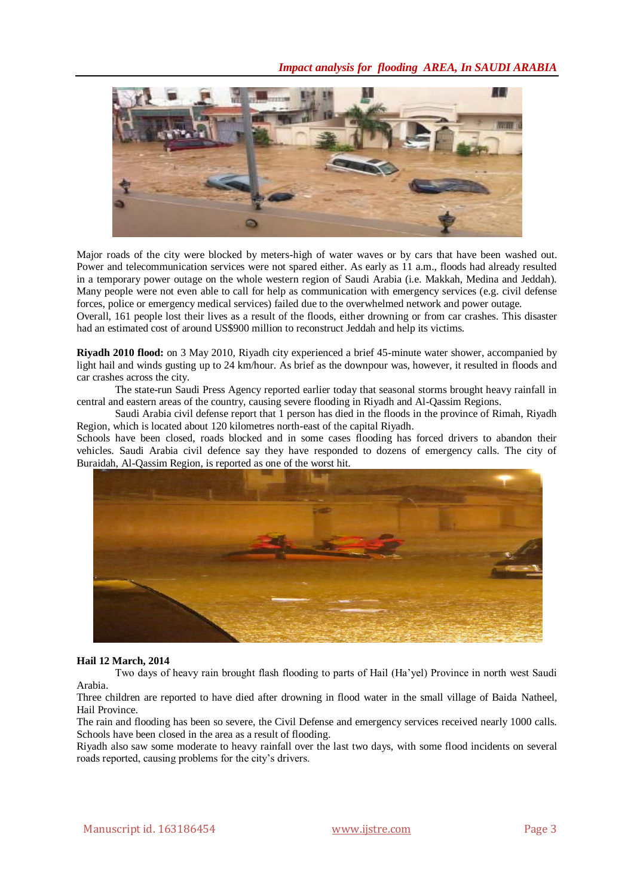# *Impact analysis for flooding AREA, In SAUDI ARABIA*



Major roads of the city were blocked by meters-high of water waves or by cars that have been washed out. Power and telecommunication services were not spared either. As early as 11 a.m., floods had already resulted in a temporary power outage on the whole western region of Saudi Arabia (i.e. Makkah, Medina and Jeddah). Many people were not even able to call for help as communication with emergency services (e.g. civil defense forces, police or emergency medical services) failed due to the overwhelmed network and power outage.

Overall, 161 people lost their lives as a result of the floods, either drowning or from car crashes. This disaster had an estimated cost of around US\$900 million to reconstruct Jeddah and help its victims.

**Riyadh 2010 flood:** on 3 May 2010, Riyadh city experienced a brief 45-minute water shower, accompanied by light hail and winds gusting up to 24 km/hour. As brief as the downpour was, however, it resulted in floods and car crashes across the city.

The state-run Saudi Press Agency reported earlier today that seasonal storms brought heavy rainfall in central and eastern areas of the country, causing severe flooding in Riyadh and Al-Qassim Regions.

Saudi Arabia civil defense report that 1 person has died in the floods in the province of Rimah, Riyadh Region, which is located about 120 kilometres north-east of the capital Riyadh.

Schools have been closed, roads blocked and in some cases flooding has forced drivers to abandon their vehicles. Saudi Arabia civil defence say they have responded to dozens of emergency calls. The city of Buraidah, Al-Qassim Region, is reported as one of the worst hit.



#### **Hail 12 March, 2014**

Two days of heavy rain brought flash flooding to parts of Hail (Ha'yel) Province in north west Saudi Arabia.

Three children are reported to have died after drowning in flood water in the small village of Baida Natheel, Hail Province.

The rain and flooding has been so severe, the Civil Defense and emergency services received nearly 1000 calls. Schools have been closed in the area as a result of flooding.

Riyadh also saw some moderate to heavy rainfall over the last two days, with some flood incidents on several roads reported, causing problems for the city's drivers.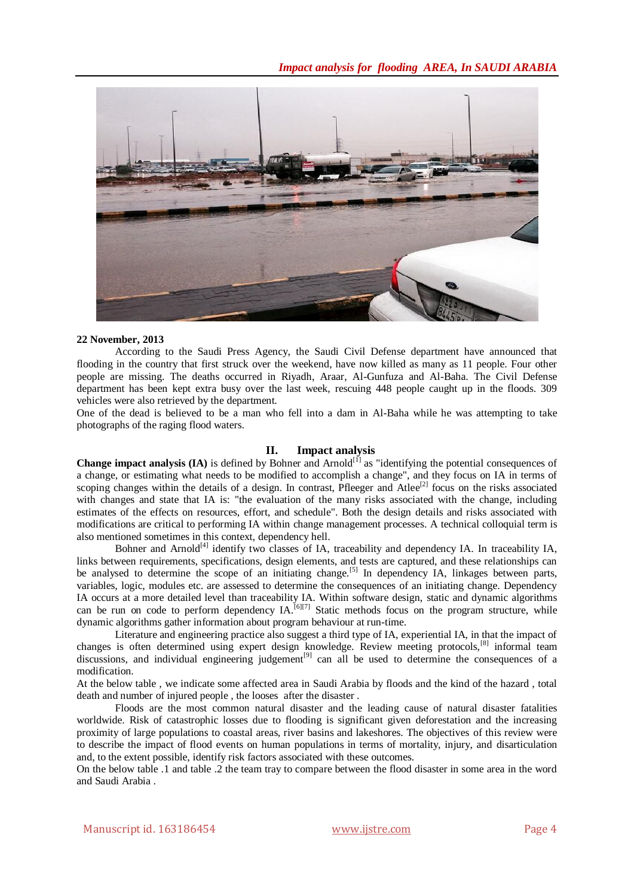

#### **22 November, 2013**

According to the [Saudi Press Agency,](http://www.spa.gov.sa/English/readsinglenews.php?id=1170573&content_id=&scroll=1) the Saudi Civil Defense department have announced that flooding in the country that first [struck over the weekend,](http://floodlist.com/asia/flooding-in-riyadh) have now killed as many as 11 people. Four other people are missing. The deaths occurred in Riyadh, Araar, Al-Gunfuza and Al-Baha. The Civil Defense department has been kept extra busy over the last week, rescuing 448 people caught up in the floods. 309 vehicles were also retrieved by the department.

One of the dead is believed to be a man who fell into a dam in Al-Baha while he was attempting to take photographs of the raging flood waters.

## **II. Impact analysis**

**Change impact analysis (IA)** is defined by Bohner and Arnold<sup>[\[1\]](https://en.wikipedia.org/wiki/Change_impact_analysis#cite_note-1)</sup> as "identifying the potential consequences of a change, or estimating what needs to be modified to accomplish a change", and they focus on IA in terms of scoping changes within the details of a design. In contrast, Pfleeger and Atlee<sup>[\[2\]](https://en.wikipedia.org/wiki/Change_impact_analysis#cite_note-2)</sup> focus on the risks associated with changes and state that IA is: "the evaluation of the many risks associated with the change, including estimates of the effects on resources, effort, and schedule". Both the design details and risks associated with modifications are critical to performing IA within change [management processes.](https://en.wikipedia.org/wiki/Change_management_%28engineering%29) A technical colloquial term is also mentioned sometimes in this context, [dependency hell.](https://en.wikipedia.org/wiki/Dependency_hell)

Bohner and Arnold<sup>[\[4\]](https://en.wikipedia.org/wiki/Change_impact_analysis#cite_note-4)</sup> identify two classes of IA, [traceability](https://en.wikipedia.org/wiki/Requirements_Traceability) and dependency IA. In traceability IA, links between requirements, specifications, design elements, and tests are captured, and these relationships can be analysed to determine the scope of an initiating change.<sup>[\[5\]](https://en.wikipedia.org/wiki/Change_impact_analysis#cite_note-5)</sup> In dependency IA, linkages between parts, variables, logic, modules etc. are assessed to determine the consequences of an initiating change. Dependency IA occurs at a more detailed level than traceability IA. Within software design, [static](https://en.wikipedia.org/wiki/Static_code_analysis) and [dynamic](https://en.wikipedia.org/wiki/Dynamic_program_analysis) algorithms can be run on code to perform dependency  $IA$ [.](https://en.wikipedia.org/wiki/Change_impact_analysis#cite_note-6)  $^{[6][7]}$  $^{[6][7]}$  $^{[6][7]}$  Static methods focus on the program structure, while dynamic algorithms gather information about program behaviour at run-time.

Literature and engineering practice also suggest a third type of IA, experiential IA, in that the impact of changes is often determined using expert design knowledge. Review meeting protocols,<sup>[\[8\]](https://en.wikipedia.org/wiki/Change_impact_analysis#cite_note-8)</sup> informal team discussions, and individual engineering judgement<sup>[\[9\]](https://en.wikipedia.org/wiki/Change_impact_analysis#cite_note-9)</sup> can all be used to determine the consequences of a modification.

At the below table , we indicate some affected area in Saudi Arabia by floods and the kind of the hazard , total death and number of injured people , the looses after the disaster .

Floods are the most common natural disaster and the leading cause of natural disaster fatalities worldwide. Risk of catastrophic losses due to flooding is significant given deforestation and the increasing proximity of large populations to coastal areas, river basins and lakeshores. The objectives of this review were to describe the impact of flood events on human populations in terms of mortality, injury, and disarticulation and, to the extent possible, identify risk factors associated with these outcomes.

On the below table .1 and table .2 the team tray to compare between the flood disaster in some area in the word and Saudi Arabia .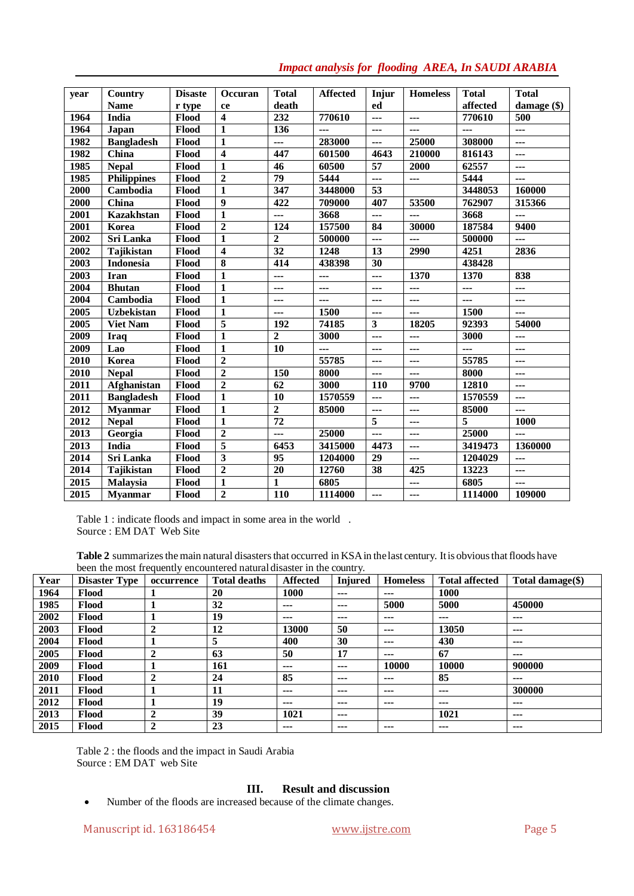| vear | <b>Country</b>     | <b>Disaste</b> | <b>Occuran</b>          | <b>Total</b>    | <b>Affected</b> | Injur           | <b>Homeless</b> | <b>Total</b>   | <b>Total</b>     |
|------|--------------------|----------------|-------------------------|-----------------|-----------------|-----------------|-----------------|----------------|------------------|
|      | <b>Name</b>        | r type         | ce                      | death           |                 | ed              |                 | affected       | damage $(\$)$    |
| 1964 | India              | Flood          | $\overline{\mathbf{4}}$ | 232             | 770610          | ---             | ---             | 770610         | $\overline{500}$ |
| 1964 | <b>Japan</b>       | Flood          | 1                       | 136             | $---$           | ---             | $---$           | $\overline{a}$ | $\overline{a}$   |
| 1982 | <b>Bangladesh</b>  | Flood          | 1                       | ---             | 283000          | ---             | 25000           | 308000         | ---              |
| 1982 | China              | Flood          | $\overline{\mathbf{4}}$ | 447             | 601500          | 4643            | 210000          | 816143         | ---              |
| 1985 | <b>Nepal</b>       | Flood          | $\mathbf{1}$            | $\overline{46}$ | 60500           | $\overline{57}$ | 2000            | 62557          | ---              |
| 1985 | <b>Philippines</b> | Flood          | $\overline{2}$          | 79              | 5444            | ---             | ---             | 5444           | ---              |
| 2000 | Cambodia           | Flood          | $\mathbf{1}$            | 347             | 3448000         | 53              |                 | 3448053        | 160000           |
| 2000 | China              | Flood          | 9                       | 422             | 709000          | 407             | 53500           | 762907         | 315366           |
| 2001 | <b>Kazakhstan</b>  | Flood          | $\mathbf{1}$            | ---             | 3668            | ---             | ---             | 3668           | ---              |
| 2001 | Korea              | Flood          | $\overline{2}$          | 124             | 157500          | 84              | 30000           | 187584         | 9400             |
| 2002 | Sri Lanka          | Flood          | $\mathbf{1}$            | $\overline{2}$  | 500000          | ---             | ---             | 500000         | ---              |
| 2002 | Tajikistan         | Flood          | $\overline{\mathbf{4}}$ | $\overline{32}$ | 1248            | 13              | 2990            | 4251           | 2836             |
| 2003 | <b>Indonesia</b>   | Flood          | 8                       | 414             | 438398          | 30              |                 | 438428         |                  |
| 2003 | Iran               | Flood          | $\mathbf{1}$            | ---             | ---             | ---             | 1370            | 1370           | 838              |
| 2004 | <b>Bhutan</b>      | Flood          | 1                       | ---             | ---             | ---             | ---             | ---            | ---              |
| 2004 | Cambodia           | Flood          | $\mathbf{1}$            | ---             | ---             | ---             | ---             | $\overline{a}$ | ---              |
| 2005 | <b>Uzbekistan</b>  | Flood          | 1                       | ---             | 1500            | ---             | $---$           | 1500           | ---              |
| 2005 | <b>Viet Nam</b>    | Flood          | 5                       | 192             | 74185           | 3               | 18205           | 92393          | 54000            |
| 2009 | <b>Iraq</b>        | Flood          | $\mathbf{1}$            | $\mathbf{2}$    | 3000            | ---             | ---             | 3000           | ---              |
| 2009 | Lao                | Flood          | $\mathbf{1}$            | 10              | ---             | ---             | $---$           | $\overline{a}$ | $---$            |
| 2010 | Korea              | Flood          | $\overline{2}$          |                 | 55785           | ---             | ---             | 55785          | ---              |
| 2010 | <b>Nepal</b>       | Flood          | $\overline{2}$          | 150             | 8000            | ---             | $---$           | 8000           | $---$            |
| 2011 | Afghanistan        | Flood          | $\overline{2}$          | $\overline{62}$ | 3000            | 110             | 9700            | 12810          | $\overline{a}$   |
| 2011 | <b>Bangladesh</b>  | Flood          | 1                       | 10              | 1570559         | ---             | ---             | 1570559        | ---              |
| 2012 | <b>Myanmar</b>     | Flood          | $\mathbf{1}$            | $\overline{2}$  | 85000           | ---             | ---             | 85000          | ---              |
| 2012 | <b>Nepal</b>       | Flood          | $\mathbf{1}$            | $\overline{72}$ |                 | 5               | ---             | 5              | 1000             |
| 2013 | Georgia            | Flood          | $\overline{2}$          | ---             | 25000           | ---             | ---             | 25000          | ---              |
| 2013 | India              | Flood          | 5                       | 6453            | 3415000         | 4473            | ---             | 3419473        | 1360000          |
| 2014 | Sri Lanka          | Flood          | 3                       | 95              | 1204000         | 29              | ---             | 1204029        | $\overline{a}$   |
| 2014 | <b>Tajikistan</b>  | Flood          | $\overline{2}$          | 20              | 12760           | 38              | 425             | 13223          | ---              |
| 2015 | Malaysia           | Flood          | $\mathbf{1}$            | 1               | 6805            |                 | ---             | 6805           | ---              |
| 2015 | <b>Myanmar</b>     | Flood          | $\overline{2}$          | <b>110</b>      | 1114000         | ---             | ---             | 1114000        | 109000           |

# *Impact analysis for flooding AREA, In SAUDI ARABIA*

Table 1 : indicate floods and impact in some area in the world . Source : EM DAT Web Site

Table 2 summarizes the main natural disasters that occurred in KSA in the last century. It is obvious that floods have been the most frequently encountered naturaldisaster in the country.

| Year | <b>Disaster Type</b> | occurrence   | <b>Total deaths</b> | <b>Affected</b> | <b>Injured</b> | <b>Homeless</b> | <b>Total affected</b> | Total damage $(\$)$ |
|------|----------------------|--------------|---------------------|-----------------|----------------|-----------------|-----------------------|---------------------|
| 1964 | Flood                |              | 20                  | 1000            | $---$          | $---$           | 1000                  |                     |
| 1985 | <b>Flood</b>         |              | 32                  | $--$            | $--$           | 5000            | 5000                  | 450000              |
| 2002 | <b>Flood</b>         |              | 19                  | $---$           | $--$           | $---$           | $---$                 | $--$                |
| 2003 | <b>Flood</b>         | $\mathbf{2}$ | 12                  | 13000           | 50             | $---$           | 13050                 | $---$               |
| 2004 | Flood                |              | 5                   | 400             | 30             | $--$            | 430                   | $--$                |
| 2005 | Flood                | 2            | 63                  | 50              | 17             | $--$            | 67                    | $---$               |
| 2009 | <b>Flood</b>         |              | 161                 | $---$           | $--$           | 10000           | 10000                 | 900000              |
| 2010 | <b>Flood</b>         | 2            | 24                  | 85              | $---$          | $---$           | 85                    | $--$                |
| 2011 | Flood                |              | 11                  | $---$           | $--$           | $---$           | $---$                 | 300000              |
| 2012 | <b>Flood</b>         |              | 19                  | $--$            | ---            | $--$            | $- - -$               | $- - -$             |
| 2013 | <b>Flood</b>         | 2            | 39                  | 1021            | $--$           |                 | 1021                  | $---$               |
| 2015 | Flood                | $\mathbf{2}$ | 23                  | $- - -$         | ---            | $---$           | $- - -$               | $- - -$             |

Table 2 : the floods and the impact in Saudi Arabia Source : EM DAT web Site

# **III. Result and discussion**

Number of the floods are increased because of the climate changes.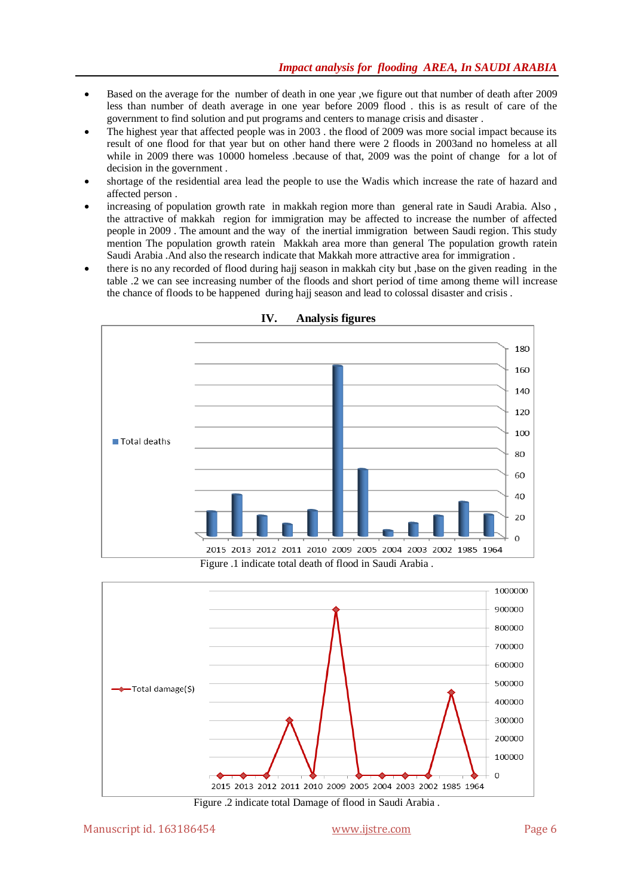- Based on the average for the number of death in one year ,we figure out that number of death after 2009 less than number of death average in one year before 2009 flood . this is as result of care of the government to find solution and put programs and centers to manage crisis and disaster .
- The highest year that affected people was in 2003 . the flood of 2009 was more social impact because its result of one flood for that year but on other hand there were 2 floods in 2003and no homeless at all while in 2009 there was 10000 homeless .because of that, 2009 was the point of change for a lot of decision in the government .
- shortage of the residential area lead the people to use the Wadis which increase the rate of hazard and affected person .
- increasing of population growth rate in makkah region more than general rate in Saudi Arabia. Also , the attractive of makkah region for immigration may be affected to increase the number of affected people in 2009 . The amount and the way of the inertial immigration between Saudi region. This study mention The population growth ratein Makkah area more than general The population growth ratein Saudi Arabia .And also the research indicate that Makkah more attractive area for immigration .
- there is no any recorded of flood during hajj season in makkah city but ,base on the given reading in the table .2 we can see increasing number of the floods and short period of time among theme will increase the chance of floods to be happened during hajj season and lead to colossal disaster and crisis .



**IV. Analysis figures**

Figure .1 indicate total death of flood in Saudi Arabia .